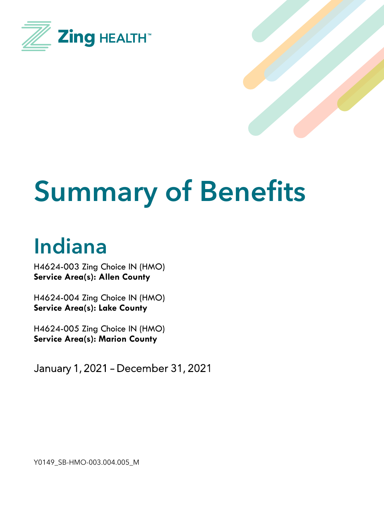



# **Summary of Benefits**

# **Indiana**

H4624-003 Zing Choice IN (HMO) **Service Area(s): Allen County**

H4624-004 Zing Choice IN (HMO) **Service Area(s): Lake County**

H4624-005 Zing Choice IN (HMO) **Service Area(s): Marion County**

January 1, 2021 – December 31, 2021

Y0149\_SB-HMO-003.004.005\_M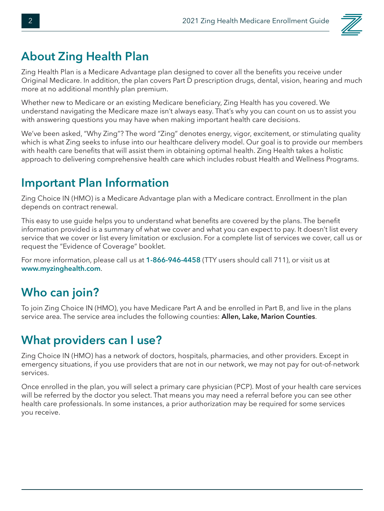

#### **About Zing Health Plan**

Zing Health Plan is a Medicare Advantage plan designed to cover all the benefits you receive under Original Medicare. In addition, the plan covers Part D prescription drugs, dental, vision, hearing and much more at no additional monthly plan premium.

Whether new to Medicare or an existing Medicare beneficiary, Zing Health has you covered. We understand navigating the Medicare maze isn't always easy. That's why you can count on us to assist you with answering questions you may have when making important health care decisions.

We've been asked, "Why Zing"? The word "Zing" denotes energy, vigor, excitement, or stimulating quality which is what Zing seeks to infuse into our healthcare delivery model. Our goal is to provide our members with health care benefits that will assist them in obtaining optimal health. Zing Health takes a holistic approach to delivering comprehensive health care which includes robust Health and Wellness Programs.

#### **Important Plan Information**

Zing Choice IN (HMO) is a Medicare Advantage plan with a Medicare contract. Enrollment in the plan depends on contract renewal.

This easy to use guide helps you to understand what benefits are covered by the plans. The benefit information provided is a summary of what we cover and what you can expect to pay. It doesn't list every service that we cover or list every limitation or exclusion. For a complete list of services we cover, call us or request the "Evidence of Coverage" booklet.

For more information, please call us at **1-866-946-4458** (TTY users should call 711), or visit us at **www.myzinghealth.com**.

### **Who can join?**

To join Zing Choice IN (HMO), you have Medicare Part A and be enrolled in Part B, and live in the plans service area. The service area includes the following counties: **Allen, Lake, Marion Counties**.

### **What providers can I use?**

Zing Choice IN (HMO) has a network of doctors, hospitals, pharmacies, and other providers. Except in emergency situations, if you use providers that are not in our network, we may not pay for out-of-network services.

Once enrolled in the plan, you will select a primary care physician (PCP). Most of your health care services will be referred by the doctor you select. That means you may need a referral before you can see other health care professionals. In some instances, a prior authorization may be required for some services you receive.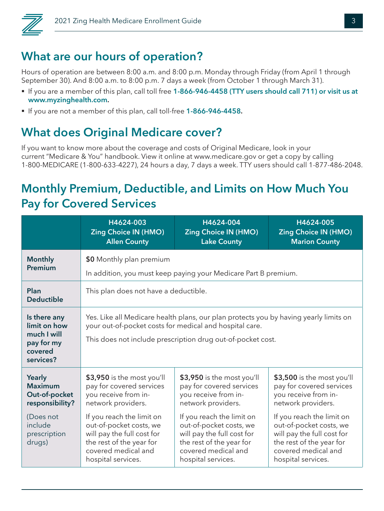

#### **What are our hours of operation?**

Hours of operation are between 8:00 a.m. and 8:00 p.m. Monday through Friday (from April 1 through September 30). And 8:00 a.m. to 8:00 p.m. 7 days a week (from October 1 through March 31).

- § If you are a member of this plan, call toll free **1-866-946-4458 (TTY users should call 711) or visit us at www.myzinghealth.com.**
- § If you are not a member of this plan, call toll-free **1-866-946-4458.**

### **What does Original Medicare cover?**

If you want to know more about the coverage and costs of Original Medicare, look in your current "Medicare & You" handbook. View it online at www.medicare.gov or get a copy by calling 1-800-MEDICARE (1-800-633-4227), 24 hours a day, 7 days a week. TTY users should call 1-877-486-2048.

#### **Monthly Premium, Deductible, and Limits on How Much You Pay for Covered Services**

|                                                                                   | H4624-003                                                                                                                                                                                                       | H4624-004                                                                                                                                                   | H4624-005                                                                                                                                                   |  |
|-----------------------------------------------------------------------------------|-----------------------------------------------------------------------------------------------------------------------------------------------------------------------------------------------------------------|-------------------------------------------------------------------------------------------------------------------------------------------------------------|-------------------------------------------------------------------------------------------------------------------------------------------------------------|--|
|                                                                                   | <b>Zing Choice IN (HMO)</b>                                                                                                                                                                                     | <b>Zing Choice IN (HMO)</b>                                                                                                                                 | <b>Zing Choice IN (HMO)</b>                                                                                                                                 |  |
|                                                                                   | <b>Allen County</b>                                                                                                                                                                                             | <b>Lake County</b>                                                                                                                                          | <b>Marion County</b>                                                                                                                                        |  |
| <b>Monthly</b>                                                                    | \$0 Monthly plan premium                                                                                                                                                                                        |                                                                                                                                                             |                                                                                                                                                             |  |
| Premium                                                                           | In addition, you must keep paying your Medicare Part B premium.                                                                                                                                                 |                                                                                                                                                             |                                                                                                                                                             |  |
| Plan<br><b>Deductible</b>                                                         | This plan does not have a deductible.                                                                                                                                                                           |                                                                                                                                                             |                                                                                                                                                             |  |
| Is there any<br>limit on how<br>much I will<br>pay for my<br>covered<br>services? | Yes. Like all Medicare health plans, our plan protects you by having yearly limits on<br>your out-of-pocket costs for medical and hospital care.<br>This does not include prescription drug out-of-pocket cost. |                                                                                                                                                             |                                                                                                                                                             |  |
| <b>Yearly</b>                                                                     | \$3,950 is the most you'll                                                                                                                                                                                      | \$3,950 is the most you'll                                                                                                                                  | \$3,500 is the most you'll                                                                                                                                  |  |
| <b>Maximum</b>                                                                    | pay for covered services                                                                                                                                                                                        | pay for covered services                                                                                                                                    | pay for covered services                                                                                                                                    |  |
| Out-of-pocket                                                                     | you receive from in-                                                                                                                                                                                            | you receive from in-                                                                                                                                        | you receive from in-                                                                                                                                        |  |
| responsibility?                                                                   | network providers.                                                                                                                                                                                              | network providers.                                                                                                                                          | network providers.                                                                                                                                          |  |
| (Does not<br>include<br>prescription<br>drugs)                                    | If you reach the limit on<br>out-of-pocket costs, we<br>will pay the full cost for<br>the rest of the year for<br>covered medical and<br>hospital services.                                                     | If you reach the limit on<br>out-of-pocket costs, we<br>will pay the full cost for<br>the rest of the year for<br>covered medical and<br>hospital services. | If you reach the limit on<br>out-of-pocket costs, we<br>will pay the full cost for<br>the rest of the year for<br>covered medical and<br>hospital services. |  |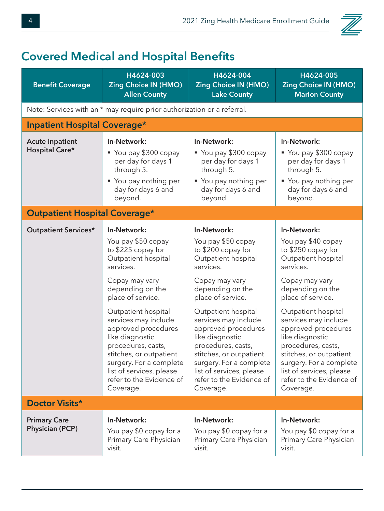

## **Covered Medical and Hospital Benefits**

| <b>Benefit Coverage</b>                       | H4624-003<br><b>Zing Choice IN (HMO)</b><br><b>Allen County</b>                                                                                                                                                                        | H4624-004<br><b>Zing Choice IN (HMO)</b><br><b>Lake County</b>                                                                                                                                                                         | H4624-005<br><b>Zing Choice IN (HMO)</b><br><b>Marion County</b>                                                                                                                                                                       |
|-----------------------------------------------|----------------------------------------------------------------------------------------------------------------------------------------------------------------------------------------------------------------------------------------|----------------------------------------------------------------------------------------------------------------------------------------------------------------------------------------------------------------------------------------|----------------------------------------------------------------------------------------------------------------------------------------------------------------------------------------------------------------------------------------|
|                                               | Note: Services with an * may require prior authorization or a referral.                                                                                                                                                                |                                                                                                                                                                                                                                        |                                                                                                                                                                                                                                        |
| <b>Inpatient Hospital Coverage*</b>           |                                                                                                                                                                                                                                        |                                                                                                                                                                                                                                        |                                                                                                                                                                                                                                        |
| <b>Acute Inpatient</b><br>Hospital Care*      | In-Network:<br>You pay \$300 copay<br>per day for days 1<br>through 5.<br>■ You pay nothing per<br>day for days 6 and<br>beyond.                                                                                                       | In-Network:<br>■ You pay \$300 copay<br>per day for days 1<br>through 5.<br>■ You pay nothing per<br>day for days 6 and<br>beyond.                                                                                                     | In-Network:<br>■ You pay \$300 copay<br>per day for days 1<br>through 5.<br>■ You pay nothing per<br>day for days 6 and<br>beyond.                                                                                                     |
| <b>Outpatient Hospital Coverage*</b>          |                                                                                                                                                                                                                                        |                                                                                                                                                                                                                                        |                                                                                                                                                                                                                                        |
| <b>Outpatient Services*</b>                   | In-Network:                                                                                                                                                                                                                            | In-Network:                                                                                                                                                                                                                            | In-Network:                                                                                                                                                                                                                            |
|                                               | You pay \$50 copay<br>to \$225 copay for<br>Outpatient hospital<br>services.                                                                                                                                                           | You pay \$50 copay<br>to \$200 copay for<br>Outpatient hospital<br>services.                                                                                                                                                           | You pay \$40 copay<br>to \$250 copay for<br>Outpatient hospital<br>services.                                                                                                                                                           |
|                                               | Copay may vary<br>depending on the<br>place of service.                                                                                                                                                                                | Copay may vary<br>depending on the<br>place of service.                                                                                                                                                                                | Copay may vary<br>depending on the<br>place of service.                                                                                                                                                                                |
|                                               | Outpatient hospital<br>services may include<br>approved procedures<br>like diagnostic<br>procedures, casts,<br>stitches, or outpatient<br>surgery. For a complete<br>list of services, please<br>refer to the Evidence of<br>Coverage. | Outpatient hospital<br>services may include<br>approved procedures<br>like diagnostic<br>procedures, casts,<br>stitches, or outpatient<br>surgery. For a complete<br>list of services, please<br>refer to the Evidence of<br>Coverage. | Outpatient hospital<br>services may include<br>approved procedures<br>like diagnostic<br>procedures, casts,<br>stitches, or outpatient<br>surgery. For a complete<br>list of services, please<br>refer to the Evidence of<br>Coverage. |
| Doctor Visits*                                |                                                                                                                                                                                                                                        |                                                                                                                                                                                                                                        |                                                                                                                                                                                                                                        |
| <b>Primary Care</b><br><b>Physician (PCP)</b> | In-Network:<br>You pay \$0 copay for a<br>Primary Care Physician<br>visit.                                                                                                                                                             | In-Network:<br>You pay \$0 copay for a<br>Primary Care Physician<br>visit.                                                                                                                                                             | In-Network:<br>You pay \$0 copay for a<br>Primary Care Physician<br>visit.                                                                                                                                                             |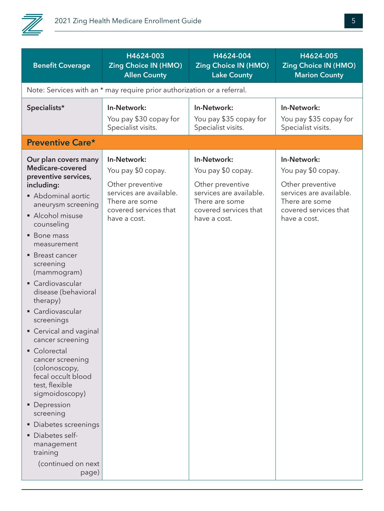

| <b>Benefit Coverage</b>                                                                                                                                                                                                                                                                                                                                                                                                                                                                                                                                                                | H4624-003<br><b>Zing Choice IN (HMO)</b><br><b>Allen County</b>                                                                             | H4624-004<br><b>Zing Choice IN (HMO)</b><br><b>Lake County</b>                                                                              | H4624-005<br><b>Zing Choice IN (HMO)</b><br><b>Marion County</b>                                                                            |
|----------------------------------------------------------------------------------------------------------------------------------------------------------------------------------------------------------------------------------------------------------------------------------------------------------------------------------------------------------------------------------------------------------------------------------------------------------------------------------------------------------------------------------------------------------------------------------------|---------------------------------------------------------------------------------------------------------------------------------------------|---------------------------------------------------------------------------------------------------------------------------------------------|---------------------------------------------------------------------------------------------------------------------------------------------|
|                                                                                                                                                                                                                                                                                                                                                                                                                                                                                                                                                                                        | Note: Services with an * may require prior authorization or a referral.                                                                     |                                                                                                                                             |                                                                                                                                             |
| Specialists*                                                                                                                                                                                                                                                                                                                                                                                                                                                                                                                                                                           | In-Network:<br>You pay \$30 copay for<br>Specialist visits.                                                                                 | In-Network:<br>You pay \$35 copay for<br>Specialist visits.                                                                                 | In-Network:<br>You pay \$35 copay for<br>Specialist visits.                                                                                 |
| <b>Preventive Care*</b>                                                                                                                                                                                                                                                                                                                                                                                                                                                                                                                                                                |                                                                                                                                             |                                                                                                                                             |                                                                                                                                             |
| Our plan covers many<br>Medicare-covered<br>preventive services,<br>including:<br>Abdominal aortic<br>aneurysm screening<br>Alcohol misuse<br>counseling<br><b>Bone mass</b><br>measurement<br>■ Breast cancer<br>screening<br>(mammogram)<br>• Cardiovascular<br>disease (behavioral<br>therapy)<br>• Cardiovascular<br>screenings<br>• Cervical and vaginal<br>cancer screening<br>• Colorectal<br>cancer screening<br>(colonoscopy,<br>fecal occult blood<br>test, flexible<br>sigmoidoscopy)<br>• Depression<br>screening<br>• Diabetes screenings<br>Diabetes self-<br>management | In-Network:<br>You pay \$0 copay.<br>Other preventive<br>services are available.<br>There are some<br>covered services that<br>have a cost. | In-Network:<br>You pay \$0 copay.<br>Other preventive<br>services are available.<br>There are some<br>covered services that<br>have a cost. | In-Network:<br>You pay \$0 copay.<br>Other preventive<br>services are available.<br>There are some<br>covered services that<br>have a cost. |
| (continued on next<br>page)                                                                                                                                                                                                                                                                                                                                                                                                                                                                                                                                                            |                                                                                                                                             |                                                                                                                                             |                                                                                                                                             |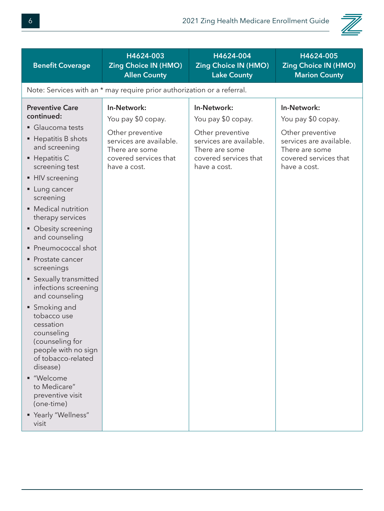

| <b>Benefit Coverage</b>                                                                                                                                                                                                                                                                                                                                                                                                                                                                                                                                                                                                                        | H4624-003<br><b>Zing Choice IN (HMO)</b><br><b>Allen County</b>                                                                             | H4624-004<br><b>Zing Choice IN (HMO)</b><br><b>Lake County</b>                                                                              | H4624-005<br><b>Zing Choice IN (HMO)</b><br><b>Marion County</b>                                                                            |
|------------------------------------------------------------------------------------------------------------------------------------------------------------------------------------------------------------------------------------------------------------------------------------------------------------------------------------------------------------------------------------------------------------------------------------------------------------------------------------------------------------------------------------------------------------------------------------------------------------------------------------------------|---------------------------------------------------------------------------------------------------------------------------------------------|---------------------------------------------------------------------------------------------------------------------------------------------|---------------------------------------------------------------------------------------------------------------------------------------------|
|                                                                                                                                                                                                                                                                                                                                                                                                                                                                                                                                                                                                                                                | Note: Services with an * may require prior authorization or a referral.                                                                     |                                                                                                                                             |                                                                                                                                             |
| <b>Preventive Care</b><br>continued:<br>Glaucoma tests<br>■ Hepatitis B shots<br>and screening<br>$\blacksquare$ Hepatitis C<br>screening test<br>• HIV screening<br>• Lung cancer<br>screening<br>• Medical nutrition<br>therapy services<br>• Obesity screening<br>and counseling<br>• Pneumococcal shot<br>• Prostate cancer<br>screenings<br>• Sexually transmitted<br>infections screening<br>and counseling<br>• Smoking and<br>tobacco use<br>cessation<br>counseling<br>(counseling for<br>people with no sign<br>of tobacco-related<br>disease)<br>■ "Welcome<br>to Medicare"<br>preventive visit<br>(one-time)<br>"Yearly "Wellness" | In-Network:<br>You pay \$0 copay.<br>Other preventive<br>services are available.<br>There are some<br>covered services that<br>have a cost. | In-Network:<br>You pay \$0 copay.<br>Other preventive<br>services are available.<br>There are some<br>covered services that<br>have a cost. | In-Network:<br>You pay \$0 copay.<br>Other preventive<br>services are available.<br>There are some<br>covered services that<br>have a cost. |
| visit                                                                                                                                                                                                                                                                                                                                                                                                                                                                                                                                                                                                                                          |                                                                                                                                             |                                                                                                                                             |                                                                                                                                             |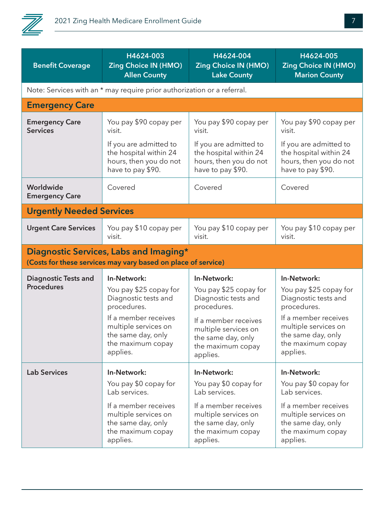

| <b>Benefit Coverage</b>            | H4624-003                                                                                               | H4624-004                   | H4624-005                   |
|------------------------------------|---------------------------------------------------------------------------------------------------------|-----------------------------|-----------------------------|
|                                    | <b>Zing Choice IN (HMO)</b>                                                                             | <b>Zing Choice IN (HMO)</b> | <b>Zing Choice IN (HMO)</b> |
|                                    | <b>Allen County</b>                                                                                     | <b>Lake County</b>          | <b>Marion County</b>        |
|                                    | Note: Services with an * may require prior authorization or a referral.                                 |                             |                             |
| <b>Emergency Care</b>              |                                                                                                         |                             |                             |
| <b>Emergency Care</b>              | You pay \$90 copay per                                                                                  | You pay \$90 copay per      | You pay \$90 copay per      |
| <b>Services</b>                    | visit.                                                                                                  | visit.                      | visit.                      |
|                                    | If you are admitted to                                                                                  | If you are admitted to      | If you are admitted to      |
|                                    | the hospital within 24                                                                                  | the hospital within 24      | the hospital within 24      |
|                                    | hours, then you do not                                                                                  | hours, then you do not      | hours, then you do not      |
|                                    | have to pay \$90.                                                                                       | have to pay \$90.           | have to pay \$90.           |
| Worldwide<br><b>Emergency Care</b> | Covered                                                                                                 | Covered                     | Covered                     |
| <b>Urgently Needed Services</b>    |                                                                                                         |                             |                             |
| <b>Urgent Care Services</b>        | You pay \$10 copay per                                                                                  | You pay \$10 copay per      | You pay \$10 copay per      |
|                                    | visit.                                                                                                  | visit.                      | visit.                      |
|                                    | Diagnostic Services, Labs and Imaging*<br>(Costs for these services may vary based on place of service) |                             |                             |
| <b>Diagnostic Tests and</b>        | In-Network:                                                                                             | In-Network:                 | In-Network:                 |
| <b>Procedures</b>                  | You pay \$25 copay for                                                                                  | You pay \$25 copay for      | You pay \$25 copay for      |
|                                    | Diagnostic tests and                                                                                    | Diagnostic tests and        | Diagnostic tests and        |
|                                    | procedures.                                                                                             | procedures.                 | procedures.                 |
|                                    | If a member receives                                                                                    | If a member receives        | If a member receives        |
|                                    | multiple services on                                                                                    | multiple services on        | multiple services on        |
|                                    | the same day, only                                                                                      | the same day, only          | the same day, only          |
|                                    | the maximum copay                                                                                       | the maximum copay           | the maximum copay           |
|                                    | applies.                                                                                                | applies.                    | applies.                    |
| <b>Lab Services</b>                | In-Network:                                                                                             | In-Network:                 | In-Network:                 |
|                                    | You pay \$0 copay for                                                                                   | You pay \$0 copay for       | You pay \$0 copay for       |
|                                    | Lab services.                                                                                           | Lab services.               | Lab services.               |
|                                    | If a member receives                                                                                    | If a member receives        | If a member receives        |
|                                    | multiple services on                                                                                    | multiple services on        | multiple services on        |
|                                    | the same day, only                                                                                      | the same day, only          | the same day, only          |
|                                    | the maximum copay                                                                                       | the maximum copay           | the maximum copay           |
|                                    | applies.                                                                                                | applies.                    | applies.                    |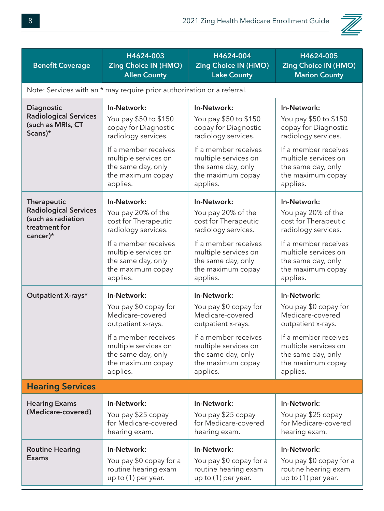

| <b>Benefit Coverage</b>                                                                                  | H4624-003<br><b>Zing Choice IN (HMO)</b><br><b>Allen County</b>                                                                                                                            | H4624-004<br><b>Zing Choice IN (HMO)</b><br><b>Lake County</b>                                                                                                                             | H4624-005<br><b>Zing Choice IN (HMO)</b><br><b>Marion County</b>                                                                                                                           |  |
|----------------------------------------------------------------------------------------------------------|--------------------------------------------------------------------------------------------------------------------------------------------------------------------------------------------|--------------------------------------------------------------------------------------------------------------------------------------------------------------------------------------------|--------------------------------------------------------------------------------------------------------------------------------------------------------------------------------------------|--|
|                                                                                                          | Note: Services with an * may require prior authorization or a referral.                                                                                                                    |                                                                                                                                                                                            |                                                                                                                                                                                            |  |
| Diagnostic<br><b>Radiological Services</b><br>(such as MRIs, CT<br>Scans)*                               | In-Network:<br>You pay \$50 to \$150<br>copay for Diagnostic<br>radiology services.<br>If a member receives<br>multiple services on<br>the same day, only<br>the maximum copay<br>applies. | In-Network:<br>You pay \$50 to \$150<br>copay for Diagnostic<br>radiology services.<br>If a member receives<br>multiple services on<br>the same day, only<br>the maximum copay<br>applies. | In-Network:<br>You pay \$50 to \$150<br>copay for Diagnostic<br>radiology services.<br>If a member receives<br>multiple services on<br>the same day, only<br>the maximum copay<br>applies. |  |
| <b>Therapeutic</b><br><b>Radiological Services</b><br>(such as radiation<br>treatment for<br>cancer $)*$ | In-Network:<br>You pay 20% of the<br>cost for Therapeutic<br>radiology services.<br>If a member receives<br>multiple services on<br>the same day, only<br>the maximum copay<br>applies.    | In-Network:<br>You pay 20% of the<br>cost for Therapeutic<br>radiology services.<br>If a member receives<br>multiple services on<br>the same day, only<br>the maximum copay<br>applies.    | In-Network:<br>You pay 20% of the<br>cost for Therapeutic<br>radiology services.<br>If a member receives<br>multiple services on<br>the same day, only<br>the maximum copay<br>applies.    |  |
| Outpatient X-rays*                                                                                       | In-Network:<br>You pay \$0 copay for<br>Medicare-covered<br>outpatient x-rays.<br>If a member receives<br>multiple services on<br>the same day, only<br>the maximum copay<br>applies.      | In-Network:<br>You pay \$0 copay for<br>Medicare-covered<br>outpatient x-rays.<br>If a member receives<br>multiple services on<br>the same day, only<br>the maximum copay<br>applies.      | In-Network:<br>You pay \$0 copay for<br>Medicare-covered<br>outpatient x-rays.<br>If a member receives<br>multiple services on<br>the same day, only<br>the maximum copay<br>applies.      |  |
| <b>Hearing Services</b>                                                                                  |                                                                                                                                                                                            |                                                                                                                                                                                            |                                                                                                                                                                                            |  |
| <b>Hearing Exams</b><br>(Medicare-covered)                                                               | In-Network:<br>You pay \$25 copay<br>for Medicare-covered<br>hearing exam.                                                                                                                 | In-Network:<br>You pay \$25 copay<br>for Medicare-covered<br>hearing exam.                                                                                                                 | In-Network:<br>You pay \$25 copay<br>for Medicare-covered<br>hearing exam.                                                                                                                 |  |
| <b>Routine Hearing</b><br><b>Exams</b>                                                                   | In-Network:<br>You pay \$0 copay for a<br>routine hearing exam<br>up to (1) per year.                                                                                                      | In-Network:<br>You pay \$0 copay for a<br>routine hearing exam<br>up to (1) per year.                                                                                                      | In-Network:<br>You pay \$0 copay for a<br>routine hearing exam<br>up to (1) per year.                                                                                                      |  |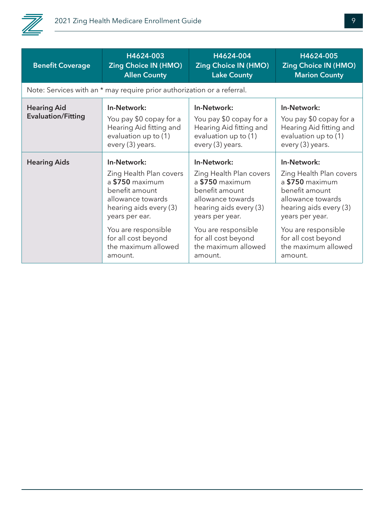

| <b>Benefit Coverage</b>                         | H4624-003                                                                                                     | H4624-004                                                                                                     | H4624-005                                                                                                     |
|-------------------------------------------------|---------------------------------------------------------------------------------------------------------------|---------------------------------------------------------------------------------------------------------------|---------------------------------------------------------------------------------------------------------------|
|                                                 | <b>Zing Choice IN (HMO)</b>                                                                                   | <b>Zing Choice IN (HMO)</b>                                                                                   | <b>Zing Choice IN (HMO)</b>                                                                                   |
|                                                 | <b>Allen County</b>                                                                                           | <b>Lake County</b>                                                                                            | <b>Marion County</b>                                                                                          |
|                                                 | Note: Services with an * may require prior authorization or a referral.                                       |                                                                                                               |                                                                                                               |
| <b>Hearing Aid</b><br><b>Evaluation/Fitting</b> | In-Network:<br>You pay \$0 copay for a<br>Hearing Aid fitting and<br>evaluation up to (1)<br>every (3) years. | In-Network:<br>You pay \$0 copay for a<br>Hearing Aid fitting and<br>evaluation up to (1)<br>every (3) years. | In-Network:<br>You pay \$0 copay for a<br>Hearing Aid fitting and<br>evaluation up to (1)<br>every (3) years. |
| <b>Hearing Aids</b>                             | In-Network:                                                                                                   | In-Network:                                                                                                   | In-Network:                                                                                                   |
|                                                 | Zing Health Plan covers                                                                                       | Zing Health Plan covers                                                                                       | Zing Health Plan covers                                                                                       |
|                                                 | a \$750 maximum                                                                                               | a \$750 maximum                                                                                               | a \$750 maximum                                                                                               |
|                                                 | benefit amount                                                                                                | benefit amount                                                                                                | benefit amount                                                                                                |
|                                                 | allowance towards                                                                                             | allowance towards                                                                                             | allowance towards                                                                                             |
|                                                 | hearing aids every (3)                                                                                        | hearing aids every (3)                                                                                        | hearing aids every (3)                                                                                        |
|                                                 | years per ear.                                                                                                | years per year.                                                                                               | years per year.                                                                                               |
|                                                 | You are responsible                                                                                           | You are responsible                                                                                           | You are responsible                                                                                           |
|                                                 | for all cost beyond                                                                                           | for all cost beyond                                                                                           | for all cost beyond                                                                                           |
|                                                 | the maximum allowed                                                                                           | the maximum allowed                                                                                           | the maximum allowed                                                                                           |
|                                                 | amount.                                                                                                       | amount.                                                                                                       | amount.                                                                                                       |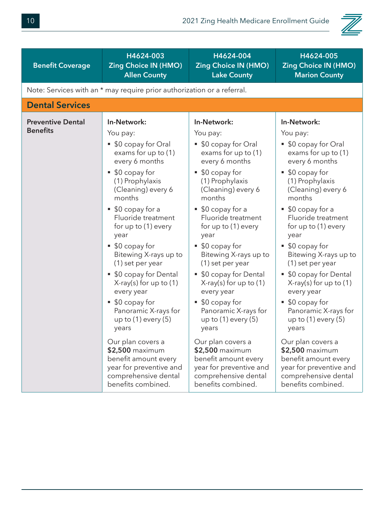

| <b>Benefit Coverage</b>                     | H4624-003<br><b>Zing Choice IN (HMO)</b>                                                                                                                                                                                                                                                                                                                                                                                                                                                    | H4624-004<br><b>Zing Choice IN (HMO)</b>                                                                                                                                                                                                                                                                                                                                                                                                                                           | H4624-005<br><b>Zing Choice IN (HMO)</b>                                                                                                                                                                                                                                                                                                                                                                                                                                              |
|---------------------------------------------|---------------------------------------------------------------------------------------------------------------------------------------------------------------------------------------------------------------------------------------------------------------------------------------------------------------------------------------------------------------------------------------------------------------------------------------------------------------------------------------------|------------------------------------------------------------------------------------------------------------------------------------------------------------------------------------------------------------------------------------------------------------------------------------------------------------------------------------------------------------------------------------------------------------------------------------------------------------------------------------|---------------------------------------------------------------------------------------------------------------------------------------------------------------------------------------------------------------------------------------------------------------------------------------------------------------------------------------------------------------------------------------------------------------------------------------------------------------------------------------|
|                                             | <b>Allen County</b>                                                                                                                                                                                                                                                                                                                                                                                                                                                                         | <b>Lake County</b>                                                                                                                                                                                                                                                                                                                                                                                                                                                                 | <b>Marion County</b>                                                                                                                                                                                                                                                                                                                                                                                                                                                                  |
|                                             | Note: Services with an * may require prior authorization or a referral.                                                                                                                                                                                                                                                                                                                                                                                                                     |                                                                                                                                                                                                                                                                                                                                                                                                                                                                                    |                                                                                                                                                                                                                                                                                                                                                                                                                                                                                       |
| <b>Dental Services</b>                      |                                                                                                                                                                                                                                                                                                                                                                                                                                                                                             |                                                                                                                                                                                                                                                                                                                                                                                                                                                                                    |                                                                                                                                                                                                                                                                                                                                                                                                                                                                                       |
| <b>Preventive Dental</b><br><b>Benefits</b> | In-Network:<br>You pay:<br>\$0 copay for Oral<br>exams for up to (1)<br>every 6 months<br>\$0 copay for<br>ш<br>(1) Prophylaxis<br>(Cleaning) every 6<br>months<br>\$0 copay for a<br>ш<br>Fluoride treatment<br>for up to (1) every<br>year<br>\$0 copay for<br>٠<br>Bitewing X-rays up to<br>(1) set per year<br>\$0 copay for Dental<br>ш<br>$X$ -ray(s) for up to $(1)$<br>every year<br>\$0 copay for<br>Panoramic X-rays for<br>up to $(1)$ every $(5)$<br>years<br>Our plan covers a | In-Network:<br>You pay:<br>• \$0 copay for Oral<br>exams for up to (1)<br>every 6 months<br>■ \$0 copay for<br>(1) Prophylaxis<br>(Cleaning) every 6<br>months<br>$\bullet$ \$0 copay for a<br>Fluoride treatment<br>for up to (1) every<br>year<br>\$0 copay for<br>Bitewing X-rays up to<br>(1) set per year<br>\$0 copay for Dental<br>$X-ray(s)$ for up to (1)<br>every year<br>\$0 copay for<br>Panoramic X-rays for<br>up to $(1)$ every $(5)$<br>years<br>Our plan covers a | In-Network:<br>You pay:<br>• \$0 copay for Oral<br>exams for up to (1)<br>every 6 months<br>■ \$0 copay for<br>(1) Prophylaxis<br>(Cleaning) every 6<br>months<br>$\bullet$ \$0 copay for a<br>Fluoride treatment<br>for up to (1) every<br>year<br>\$0 copay for<br>Bitewing X-rays up to<br>(1) set per year<br>\$0 copay for Dental<br>$X$ -ray(s) for up to $(1)$<br>every year<br>\$0 copay for<br>Panoramic X-rays for<br>up to $(1)$ every $(5)$<br>years<br>Our plan covers a |
|                                             | \$2,500 maximum<br>benefit amount every<br>year for preventive and<br>comprehensive dental<br>benefits combined.                                                                                                                                                                                                                                                                                                                                                                            | \$2,500 maximum<br>benefit amount every<br>year for preventive and<br>comprehensive dental<br>benefits combined.                                                                                                                                                                                                                                                                                                                                                                   | \$2,500 maximum<br>benefit amount every<br>year for preventive and<br>comprehensive dental<br>benefits combined.                                                                                                                                                                                                                                                                                                                                                                      |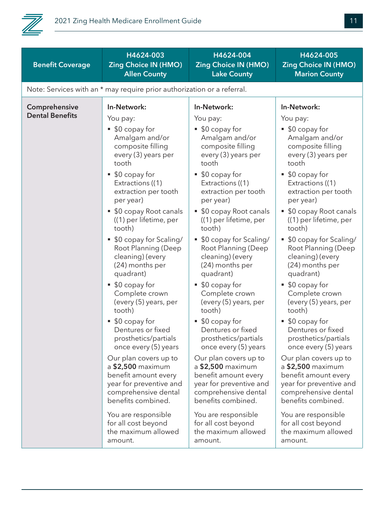

| <b>Benefit Coverage</b>                 | H4624-003<br><b>Zing Choice IN (HMO)</b><br><b>Allen County</b>                                                                                                                                                                                                                                                                                                                                                                                                                                                                                                      | H4624-004<br><b>Zing Choice IN (HMO)</b><br><b>Lake County</b>                                                                                                                                                                                                                                                                                                                                                                                                                                                                                                   | H4624-005<br><b>Zing Choice IN (HMO)</b><br><b>Marion County</b>                                                                                                                                                                                                                                                                                                                                                                                                                                                                                                           |
|-----------------------------------------|----------------------------------------------------------------------------------------------------------------------------------------------------------------------------------------------------------------------------------------------------------------------------------------------------------------------------------------------------------------------------------------------------------------------------------------------------------------------------------------------------------------------------------------------------------------------|------------------------------------------------------------------------------------------------------------------------------------------------------------------------------------------------------------------------------------------------------------------------------------------------------------------------------------------------------------------------------------------------------------------------------------------------------------------------------------------------------------------------------------------------------------------|----------------------------------------------------------------------------------------------------------------------------------------------------------------------------------------------------------------------------------------------------------------------------------------------------------------------------------------------------------------------------------------------------------------------------------------------------------------------------------------------------------------------------------------------------------------------------|
|                                         | Note: Services with an * may require prior authorization or a referral.                                                                                                                                                                                                                                                                                                                                                                                                                                                                                              |                                                                                                                                                                                                                                                                                                                                                                                                                                                                                                                                                                  |                                                                                                                                                                                                                                                                                                                                                                                                                                                                                                                                                                            |
| Comprehensive<br><b>Dental Benefits</b> | In-Network:<br>You pay:<br>■ \$0 copay for<br>Amalgam and/or<br>composite filling<br>every (3) years per<br>tooth<br>■ \$0 copay for<br>Extractions ((1)<br>extraction per tooth<br>per year)                                                                                                                                                                                                                                                                                                                                                                        | In-Network:<br>You pay:<br>\$0 copay for<br>π,<br>Amalgam and/or<br>composite filling<br>every (3) years per<br>tooth<br>■ \$0 copay for<br>Extractions ((1)<br>extraction per tooth<br>per year)                                                                                                                                                                                                                                                                                                                                                                | In-Network:<br>You pay:<br>\$0 copay for<br>ш<br>Amalgam and/or<br>composite filling<br>every (3) years per<br>tooth<br>\$0 copay for<br>ш<br>Extractions ((1)<br>extraction per tooth<br>per year)                                                                                                                                                                                                                                                                                                                                                                        |
|                                         | • \$0 copay Root canals<br>((1) per lifetime, per<br>tooth)<br>\$0 copay for Scaling/<br>ш<br>Root Planning (Deep<br>cleaning) (every<br>(24) months per<br>quadrant)<br>■ \$0 copay for<br>Complete crown<br>(every (5) years, per<br>tooth)<br>■ \$0 copay for<br>Dentures or fixed<br>prosthetics/partials<br>once every (5) years<br>Our plan covers up to<br>a \$2,500 maximum<br>benefit amount every<br>year for preventive and<br>comprehensive dental<br>benefits combined.<br>You are responsible<br>for all cost beyond<br>the maximum allowed<br>amount. | \$0 copay Root canals<br>((1) per lifetime, per<br>tooth)<br>\$0 copay for Scaling/<br>٠<br>Root Planning (Deep<br>cleaning) (every<br>(24) months per<br>quadrant)<br>■ \$0 copay for<br>Complete crown<br>(every (5) years, per<br>tooth)<br>\$0 copay for<br>Dentures or fixed<br>prosthetics/partials<br>once every (5) years<br>Our plan covers up to<br>a \$2,500 maximum<br>benefit amount every<br>year for preventive and<br>comprehensive dental<br>benefits combined.<br>You are responsible<br>for all cost beyond<br>the maximum allowed<br>amount. | \$0 copay Root canals<br>ш<br>((1) per lifetime, per<br>tooth)<br>\$0 copay for Scaling/<br>ш<br>Root Planning (Deep<br>cleaning) (every<br>(24) months per<br>quadrant)<br>\$0 copay for<br>п<br>Complete crown<br>(every (5) years, per<br>tooth)<br>■ \$0 copay for<br>Dentures or fixed<br>prosthetics/partials<br>once every (5) years<br>Our plan covers up to<br>a \$2,500 maximum<br>benefit amount every<br>year for preventive and<br>comprehensive dental<br>benefits combined.<br>You are responsible<br>for all cost beyond<br>the maximum allowed<br>amount. |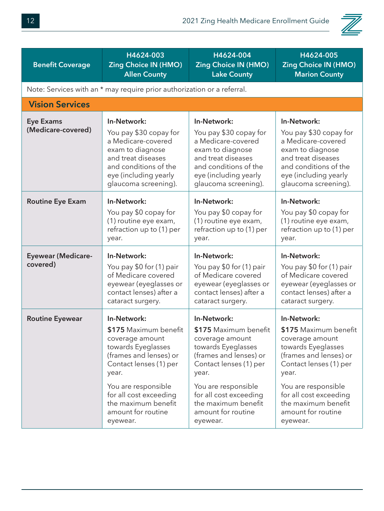

| <b>Benefit Coverage</b>                | H4624-003<br><b>Zing Choice IN (HMO)</b><br><b>Allen County</b>                                                                                                                                                                                      | H4624-004<br><b>Zing Choice IN (HMO)</b><br><b>Lake County</b>                                                                                                                                                                                       | H4624-005<br><b>Zing Choice IN (HMO)</b><br><b>Marion County</b>                                                                                                                                                                                     |
|----------------------------------------|------------------------------------------------------------------------------------------------------------------------------------------------------------------------------------------------------------------------------------------------------|------------------------------------------------------------------------------------------------------------------------------------------------------------------------------------------------------------------------------------------------------|------------------------------------------------------------------------------------------------------------------------------------------------------------------------------------------------------------------------------------------------------|
|                                        | Note: Services with an * may require prior authorization or a referral.                                                                                                                                                                              |                                                                                                                                                                                                                                                      |                                                                                                                                                                                                                                                      |
| <b>Vision Services</b>                 |                                                                                                                                                                                                                                                      |                                                                                                                                                                                                                                                      |                                                                                                                                                                                                                                                      |
| <b>Eye Exams</b><br>(Medicare-covered) | In-Network:<br>You pay \$30 copay for<br>a Medicare-covered<br>exam to diagnose<br>and treat diseases<br>and conditions of the<br>eye (including yearly<br>glaucoma screening).                                                                      | In-Network:<br>You pay \$30 copay for<br>a Medicare-covered<br>exam to diagnose<br>and treat diseases<br>and conditions of the<br>eye (including yearly<br>glaucoma screening).                                                                      | In-Network:<br>You pay \$30 copay for<br>a Medicare-covered<br>exam to diagnose<br>and treat diseases<br>and conditions of the<br>eye (including yearly<br>glaucoma screening).                                                                      |
| <b>Routine Eye Exam</b>                | In-Network:<br>You pay \$0 copay for<br>(1) routine eye exam,<br>refraction up to (1) per<br>year.                                                                                                                                                   | In-Network:<br>You pay \$0 copay for<br>(1) routine eye exam,<br>refraction up to (1) per<br>year.                                                                                                                                                   | In-Network:<br>You pay \$0 copay for<br>(1) routine eye exam,<br>refraction up to (1) per<br>year.                                                                                                                                                   |
| <b>Eyewear (Medicare-</b><br>covered)  | In-Network:<br>You pay \$0 for (1) pair<br>of Medicare covered<br>eyewear (eyeglasses or<br>contact lenses) after a<br>cataract surgery.                                                                                                             | In-Network:<br>You pay \$0 for (1) pair<br>of Medicare covered<br>eyewear (eyeglasses or<br>contact lenses) after a<br>cataract surgery.                                                                                                             | In-Network:<br>You pay \$0 for (1) pair<br>of Medicare covered<br>eyewear (eyeglasses or<br>contact lenses) after a<br>cataract surgery.                                                                                                             |
| <b>Routine Eyewear</b>                 | In-Network:<br>\$175 Maximum benefit<br>coverage amount<br>towards Eyeglasses<br>(frames and lenses) or<br>Contact lenses (1) per<br>year.<br>You are responsible<br>for all cost exceeding<br>the maximum benefit<br>amount for routine<br>eyewear. | In-Network:<br>\$175 Maximum benefit<br>coverage amount<br>towards Eyeglasses<br>(frames and lenses) or<br>Contact lenses (1) per<br>year.<br>You are responsible<br>for all cost exceeding<br>the maximum benefit<br>amount for routine<br>eyewear. | In-Network:<br>\$175 Maximum benefit<br>coverage amount<br>towards Eyeglasses<br>(frames and lenses) or<br>Contact lenses (1) per<br>year.<br>You are responsible<br>for all cost exceeding<br>the maximum benefit<br>amount for routine<br>eyewear. |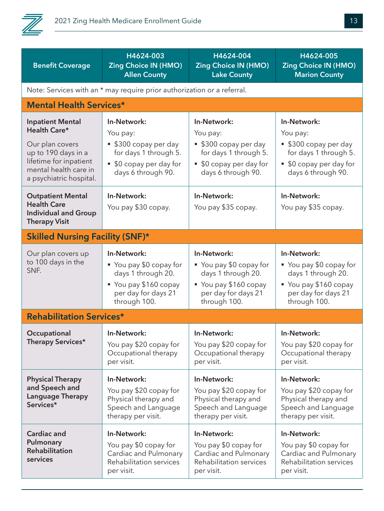

| <b>Benefit Coverage</b>                                                                                                                                         | H4624-003<br><b>Zing Choice IN (HMO)</b><br><b>Allen County</b>                                                            | H4624-004<br><b>Zing Choice IN (HMO)</b><br><b>Lake County</b>                                                             | H4624-005<br><b>Zing Choice IN (HMO)</b><br><b>Marion County</b>                                                             |
|-----------------------------------------------------------------------------------------------------------------------------------------------------------------|----------------------------------------------------------------------------------------------------------------------------|----------------------------------------------------------------------------------------------------------------------------|------------------------------------------------------------------------------------------------------------------------------|
|                                                                                                                                                                 | Note: Services with an * may require prior authorization or a referral.                                                    |                                                                                                                            |                                                                                                                              |
| <b>Mental Health Services*</b>                                                                                                                                  |                                                                                                                            |                                                                                                                            |                                                                                                                              |
| <b>Inpatient Mental</b><br>Health Care*<br>Our plan covers<br>up to 190 days in a<br>lifetime for inpatient<br>mental health care in<br>a psychiatric hospital. | In-Network:<br>You pay:<br>■ \$300 copay per day<br>for days 1 through 5.<br>• \$0 copay per day for<br>days 6 through 90. | In-Network:<br>You pay:<br>• \$300 copay per day<br>for days 1 through 5.<br>• \$0 copay per day for<br>days 6 through 90. | In-Network:<br>You pay:<br>• \$300 copay per day<br>for days 1 through 5.<br>• \$0 copay per day for<br>days 6 through 90.   |
| <b>Outpatient Mental</b><br><b>Health Care</b><br><b>Individual and Group</b><br><b>Therapy Visit</b>                                                           | In-Network:<br>You pay \$30 copay.                                                                                         | In-Network:<br>You pay \$35 copay.                                                                                         | In-Network:<br>You pay \$35 copay.                                                                                           |
| <b>Skilled Nursing Facility (SNF)*</b>                                                                                                                          |                                                                                                                            |                                                                                                                            |                                                                                                                              |
| Our plan covers up<br>to 100 days in the<br>SNF.                                                                                                                | In-Network:<br>■ You pay \$0 copay for<br>days 1 through 20.<br>You pay \$160 copay<br>per day for days 21<br>through 100. | In-Network:<br>• You pay \$0 copay for<br>days 1 through 20.<br>You pay \$160 copay<br>per day for days 21<br>through 100. | In-Network:<br>■ You pay \$0 copay for<br>days 1 through 20.<br>■ You pay \$160 copay<br>per day for days 21<br>through 100. |
| <b>Rehabilitation Services*</b>                                                                                                                                 |                                                                                                                            |                                                                                                                            |                                                                                                                              |
| Occupational<br>Therapy Services*                                                                                                                               | In-Network:<br>You pay \$20 copay for<br>Occupational therapy<br>per visit.                                                | In-Network:<br>You pay \$20 copay for<br>Occupational therapy<br>per visit.                                                | In-Network:<br>You pay \$20 copay for<br>Occupational therapy<br>per visit.                                                  |
| <b>Physical Therapy</b><br>and Speech and<br><b>Language Therapy</b><br>Services*                                                                               | In-Network:<br>You pay \$20 copay for<br>Physical therapy and<br>Speech and Language<br>therapy per visit.                 | In-Network:<br>You pay \$20 copay for<br>Physical therapy and<br>Speech and Language<br>therapy per visit.                 | In-Network:<br>You pay \$20 copay for<br>Physical therapy and<br>Speech and Language<br>therapy per visit.                   |
| <b>Cardiac and</b><br>Pulmonary<br><b>Rehabilitation</b><br>services                                                                                            | In-Network:<br>You pay \$0 copay for<br>Cardiac and Pulmonary<br><b>Rehabilitation services</b><br>per visit.              | In-Network:<br>You pay \$0 copay for<br>Cardiac and Pulmonary<br>Rehabilitation services<br>per visit.                     | In-Network:<br>You pay \$0 copay for<br>Cardiac and Pulmonary<br>Rehabilitation services<br>per visit.                       |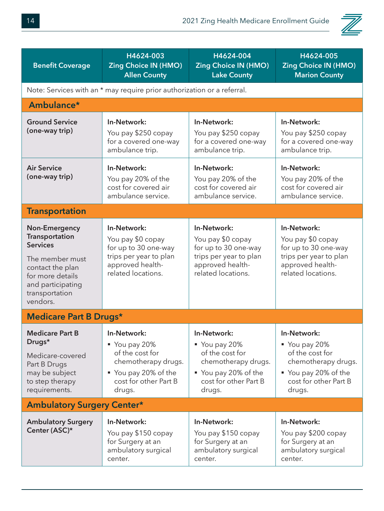

| <b>Benefit Coverage</b>                                                                                                                                                 | H4624-003<br><b>Zing Choice IN (HMO)</b><br><b>Allen County</b>                                                                 | H4624-004<br><b>Zing Choice IN (HMO)</b><br><b>Lake County</b>                                                                    | H4624-005<br><b>Zing Choice IN (HMO)</b><br><b>Marion County</b>                                                                |
|-------------------------------------------------------------------------------------------------------------------------------------------------------------------------|---------------------------------------------------------------------------------------------------------------------------------|-----------------------------------------------------------------------------------------------------------------------------------|---------------------------------------------------------------------------------------------------------------------------------|
|                                                                                                                                                                         | Note: Services with an * may require prior authorization or a referral.                                                         |                                                                                                                                   |                                                                                                                                 |
| Ambulance*                                                                                                                                                              |                                                                                                                                 |                                                                                                                                   |                                                                                                                                 |
| <b>Ground Service</b><br>(one-way trip)                                                                                                                                 | In-Network:<br>You pay \$250 copay<br>for a covered one-way<br>ambulance trip.                                                  | In-Network:<br>You pay \$250 copay<br>for a covered one-way<br>ambulance trip.                                                    | In-Network:<br>You pay \$250 copay<br>for a covered one-way<br>ambulance trip.                                                  |
| <b>Air Service</b><br>(one-way trip)                                                                                                                                    | In-Network:<br>You pay 20% of the<br>cost for covered air<br>ambulance service.                                                 | In-Network:<br>You pay 20% of the<br>cost for covered air<br>ambulance service.                                                   | In-Network:<br>You pay 20% of the<br>cost for covered air<br>ambulance service.                                                 |
| <b>Transportation</b>                                                                                                                                                   |                                                                                                                                 |                                                                                                                                   |                                                                                                                                 |
| <b>Non-Emergency</b><br>Transportation<br><b>Services</b><br>The member must<br>contact the plan<br>for more details<br>and participating<br>transportation<br>vendors. | In-Network:<br>You pay \$0 copay<br>for up to 30 one-way<br>trips per year to plan<br>approved health-<br>related locations.    | In-Network:<br>You pay \$0 copay<br>for up to 30 one-way<br>trips per year to plan<br>approved health-<br>related locations.      | In-Network:<br>You pay \$0 copay<br>for up to 30 one-way<br>trips per year to plan<br>approved health-<br>related locations.    |
| <b>Medicare Part B Drugs*</b>                                                                                                                                           |                                                                                                                                 |                                                                                                                                   |                                                                                                                                 |
| <b>Medicare Part B</b><br>Drugs*<br>Medicare-covered<br>Part B Drugs<br>may be subject<br>to step therapy<br>requirements.                                              | In-Network:<br>You pay 20%<br>of the cost for<br>chemotherapy drugs.<br>■ You pay 20% of the<br>cost for other Part B<br>drugs. | In-Network:<br>■ You pay 20%<br>of the cost for<br>chemotherapy drugs.<br>■ You pay 20% of the<br>cost for other Part B<br>drugs. | In-Network:<br>You pay 20%<br>of the cost for<br>chemotherapy drugs.<br>■ You pay 20% of the<br>cost for other Part B<br>drugs. |
| <b>Ambulatory Surgery Center*</b>                                                                                                                                       |                                                                                                                                 |                                                                                                                                   |                                                                                                                                 |
| <b>Ambulatory Surgery</b><br>Center (ASC)*                                                                                                                              | In-Network:<br>You pay \$150 copay<br>for Surgery at an<br>ambulatory surgical<br>center.                                       | In-Network:<br>You pay \$150 copay<br>for Surgery at an<br>ambulatory surgical<br>center.                                         | In-Network:<br>You pay \$200 copay<br>for Surgery at an<br>ambulatory surgical<br>center.                                       |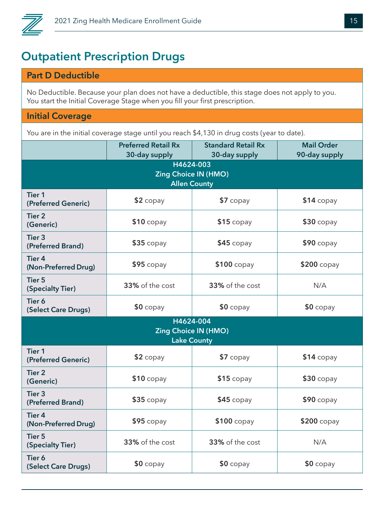

#### **Outpatient Prescription Drugs**

#### **Part D Deductible**

No Deductible. Because your plan does not have a deductible, this stage does not apply to you. You start the Initial Coverage Stage when you fill your first prescription.

#### **Initial Coverage**

You are in the initial coverage stage until you reach \$4,130 in drug costs (year to date).

|                                                                 | <b>Preferred Retail Rx</b><br>30-day supply | <b>Standard Retail Rx</b><br>30-day supply        | <b>Mail Order</b><br>90-day supply |  |
|-----------------------------------------------------------------|---------------------------------------------|---------------------------------------------------|------------------------------------|--|
| H4624-003<br><b>Zing Choice IN (HMO)</b><br><b>Allen County</b> |                                             |                                                   |                                    |  |
| <b>Tier 1</b><br>(Preferred Generic)                            | $$2$ copay                                  | $$7$ copay                                        | $$14$ copay                        |  |
| <b>Tier 2</b><br>(Generic)                                      | $$10$ copay                                 | $$15$ copay                                       | $$30$ copay                        |  |
| Tier <sub>3</sub><br>(Preferred Brand)                          | $$35$ copay                                 | $$45$ copay                                       | $$90$ copay                        |  |
| <b>Tier 4</b><br>(Non-Preferred Drug)                           | $$95$ copay                                 | $$100$ copay                                      | \$200 copay                        |  |
| <b>Tier 5</b><br>(Specialty Tier)                               | 33% of the cost                             | 33% of the cost                                   | N/A                                |  |
| Tier 6<br>(Select Care Drugs)                                   | $$0$ copay                                  | $$0$ copay                                        | $$0$ copay                         |  |
|                                                                 | H4624-004                                   | <b>Zing Choice IN (HMO)</b><br><b>Lake County</b> |                                    |  |
| <b>Tier 1</b><br>(Preferred Generic)                            | \$2 copay                                   | $$7$ copay                                        | $$14$ copay                        |  |
| <b>Tier 2</b><br>(Generic)                                      | $$10$ copay                                 | $$15$ copay                                       | $$30$ copay                        |  |
| <b>Tier 3</b><br>(Preferred Brand)                              | $$35$ copay                                 | $$45$ copay                                       | $$90$ copay                        |  |
| <b>Tier 4</b><br>(Non-Preferred Drug)                           | $$95$ copay                                 | $$100$ copay                                      | $$200$ copay                       |  |
| <b>Tier 5</b><br>(Specialty Tier)                               | 33% of the cost                             | 33% of the cost                                   | N/A                                |  |
| Tier 6<br>(Select Care Drugs)                                   | $$0$ copay                                  | $$0$ copay                                        | $$0$ copay                         |  |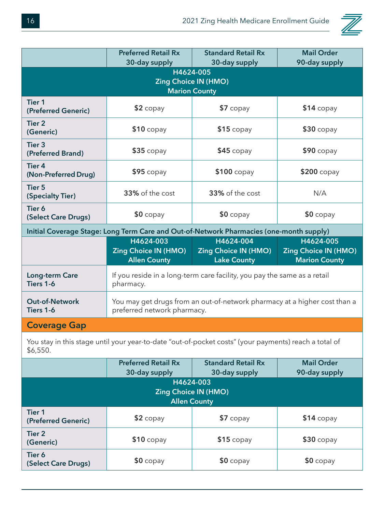

|                                                                                                                   | <b>Preferred Retail Rx</b><br>30-day supply                                                              | <b>Standard Retail Rx</b><br>30-day supply                               | <b>Mail Order</b><br>90-day supply                               |  |
|-------------------------------------------------------------------------------------------------------------------|----------------------------------------------------------------------------------------------------------|--------------------------------------------------------------------------|------------------------------------------------------------------|--|
| H4624-005<br><b>Zing Choice IN (HMO)</b><br><b>Marion County</b>                                                  |                                                                                                          |                                                                          |                                                                  |  |
| <b>Tier 1</b><br>(Preferred Generic)                                                                              | $$2$ copay                                                                                               | $$7$ copay                                                               | $$14$ copay                                                      |  |
| <b>Tier 2</b><br>(Generic)                                                                                        | $$10$ copay                                                                                              | $$15$ copay                                                              | $$30$ copay                                                      |  |
| Tier <sub>3</sub><br>(Preferred Brand)                                                                            | $$35$ copay                                                                                              | $$45$ copay                                                              | $$90$ copay                                                      |  |
| <b>Tier 4</b><br>(Non-Preferred Drug)                                                                             | $$95$ copay                                                                                              | $$100$ copay                                                             | $$200$ copay                                                     |  |
| <b>Tier 5</b><br>(Specialty Tier)                                                                                 | 33% of the cost                                                                                          | 33% of the cost                                                          | N/A                                                              |  |
| Tier 6<br>(Select Care Drugs)                                                                                     | $$0$ copay                                                                                               | $$0$ copay                                                               | $$0$ copay                                                       |  |
|                                                                                                                   | Initial Coverage Stage: Long Term Care and Out-of-Network Pharmacies (one-month supply)                  |                                                                          |                                                                  |  |
|                                                                                                                   | H4624-003<br><b>Zing Choice IN (HMO)</b><br><b>Allen County</b>                                          | H4624-004<br><b>Zing Choice IN (HMO)</b><br><b>Lake County</b>           | H4624-005<br><b>Zing Choice IN (HMO)</b><br><b>Marion County</b> |  |
| Long-term Care<br>Tiers 1-6                                                                                       | pharmacy.                                                                                                | If you reside in a long-term care facility, you pay the same as a retail |                                                                  |  |
| <b>Out-of-Network</b><br>Tiers 1-6                                                                                | You may get drugs from an out-of-network pharmacy at a higher cost than a<br>preferred network pharmacy. |                                                                          |                                                                  |  |
| <b>Coverage Gap</b>                                                                                               |                                                                                                          |                                                                          |                                                                  |  |
| You stay in this stage until your year-to-date "out-of-pocket costs" (your payments) reach a total of<br>\$6,550. |                                                                                                          |                                                                          |                                                                  |  |

|                                                                 | <b>Preferred Retail Rx</b> | <b>Standard Retail Rx</b> | <b>Mail Order</b> |  |
|-----------------------------------------------------------------|----------------------------|---------------------------|-------------------|--|
|                                                                 | 30-day supply              | 30-day supply             | 90-day supply     |  |
| H4624-003<br><b>Zing Choice IN (HMO)</b><br><b>Allen County</b> |                            |                           |                   |  |
| Tier <sub>1</sub><br>(Preferred Generic)                        | $$2$ copay                 | $$7$ copay                | $$14$ copay       |  |
| Tier <sub>2</sub><br>(Generic)                                  | $$10$ copay                | $$15$ copay               | $$30$ copay       |  |
| Tier 6<br>(Select Care Drugs)                                   | $$0$ copay                 | $$0$ copay                | $$0$ copay        |  |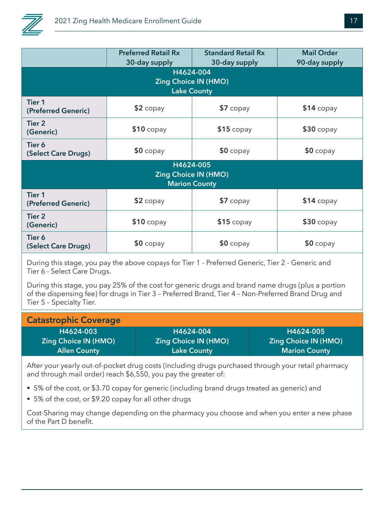

|                                                                  | <b>Preferred Retail Rx</b><br>30-day supply | <b>Standard Retail Rx</b><br>30-day supply | <b>Mail Order</b><br>90-day supply |  |  |
|------------------------------------------------------------------|---------------------------------------------|--------------------------------------------|------------------------------------|--|--|
| H4624-004<br><b>Zing Choice IN (HMO)</b><br><b>Lake County</b>   |                                             |                                            |                                    |  |  |
| <b>Tier 1</b><br>(Preferred Generic)                             | $$2$ copay                                  | \$7 copay                                  | $$14$ copay                        |  |  |
| <b>Tier 2</b><br>(Generic)                                       | $$10$ copay                                 | $$15$ copay                                | $$30$ copay                        |  |  |
| Tier 6<br>(Select Care Drugs)                                    | $$0$ copay                                  | $$0$ copay                                 | $$0$ copay                         |  |  |
| H4624-005<br><b>Zing Choice IN (HMO)</b><br><b>Marion County</b> |                                             |                                            |                                    |  |  |
| <b>Tier 1</b><br>(Preferred Generic)                             | $$2$ copay                                  | $$7$ copay                                 | $$14$ copay                        |  |  |
| <b>Tier 2</b><br>(Generic)                                       | $$10$ copay                                 | $$15$ copay                                | $$30$ copay                        |  |  |
| Tier 6<br>(Select Care Drugs)                                    | $$0$ copay                                  | $$0$ copay                                 | $$0$ copay                         |  |  |
|                                                                  |                                             |                                            |                                    |  |  |

During this stage, you pay the above copays for Tier 1 - Preferred Generic, Tier 2 - Generic and Tier 6 - Select Care Drugs.

During this stage, you pay 25% of the cost for generic drugs and brand name drugs (plus a portion of the dispensing fee) for drugs in Tier 3 – Preferred Brand, Tier 4 – Non-Preferred Brand Drug and Tier 5 – Specialty Tier.

| <b>Catastrophic Coverage</b> |                             |                             |
|------------------------------|-----------------------------|-----------------------------|
| H4624-003                    | H4624-004                   | H4624-005                   |
| <b>Zing Choice IN (HMO)</b>  | <b>Zing Choice IN (HMO)</b> | <b>Zing Choice IN (HMO)</b> |
| <b>Allen County</b>          | <b>Lake County</b>          | <b>Marion County</b>        |

After your yearly out-of-pocket drug costs (including drugs purchased through your retail pharmacy and through mail order) reach \$6,550, you pay the greater of:

- 5% of the cost, or \$3.70 copay for generic (including brand drugs treated as generic) and
- 5% of the cost, or \$9.20 copay for all other drugs

Cost-Sharing may change depending on the pharmacy you choose and when you enter a new phase of the Part D benefit.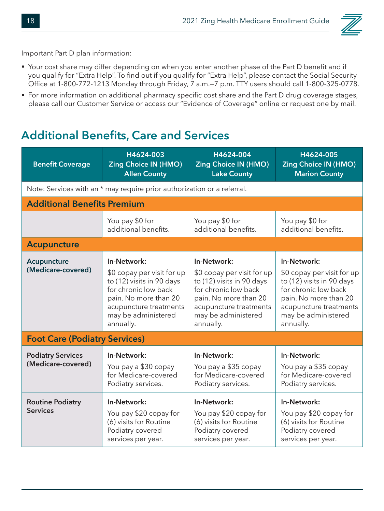

Important Part D plan information:

- § Your cost share may differ depending on when you enter another phase of the Part D benefit and if you qualify for "Extra Help". To find out if you qualify for "Extra Help", please contact the Social Security Office at 1-800-772-1213 Monday through Friday, 7 a.m.—7 p.m. TTY users should call 1-800-325-0778.
- For more information on additional pharmacy specific cost share and the Part D drug coverage stages, please call our Customer Service or access our "Evidence of Coverage" online or request one by mail.

#### **Additional Benefits, Care and Services**

| <b>Benefit Coverage</b>                        | H4624-003<br><b>Zing Choice IN (HMO)</b><br><b>Allen County</b>                                                                                                                       | H4624-004<br><b>Zing Choice IN (HMO)</b><br><b>Lake County</b>                                                                                                                        | H4624-005<br><b>Zing Choice IN (HMO)</b><br><b>Marion County</b>                                                                                                                      |
|------------------------------------------------|---------------------------------------------------------------------------------------------------------------------------------------------------------------------------------------|---------------------------------------------------------------------------------------------------------------------------------------------------------------------------------------|---------------------------------------------------------------------------------------------------------------------------------------------------------------------------------------|
|                                                | Note: Services with an * may require prior authorization or a referral.                                                                                                               |                                                                                                                                                                                       |                                                                                                                                                                                       |
| <b>Additional Benefits Premium</b>             |                                                                                                                                                                                       |                                                                                                                                                                                       |                                                                                                                                                                                       |
|                                                | You pay \$0 for<br>additional benefits.                                                                                                                                               | You pay \$0 for<br>additional benefits.                                                                                                                                               | You pay \$0 for<br>additional benefits.                                                                                                                                               |
| <b>Acupuncture</b>                             |                                                                                                                                                                                       |                                                                                                                                                                                       |                                                                                                                                                                                       |
| Acupuncture<br>(Medicare-covered)              | In-Network:<br>\$0 copay per visit for up<br>to (12) visits in 90 days<br>for chronic low back<br>pain. No more than 20<br>acupuncture treatments<br>may be administered<br>annually. | In-Network:<br>\$0 copay per visit for up<br>to (12) visits in 90 days<br>for chronic low back<br>pain. No more than 20<br>acupuncture treatments<br>may be administered<br>annually. | In-Network:<br>\$0 copay per visit for up<br>to (12) visits in 90 days<br>for chronic low back<br>pain. No more than 20<br>acupuncture treatments<br>may be administered<br>annually. |
| <b>Foot Care (Podiatry Services)</b>           |                                                                                                                                                                                       |                                                                                                                                                                                       |                                                                                                                                                                                       |
| <b>Podiatry Services</b><br>(Medicare-covered) | In-Network:<br>You pay a \$30 copay<br>for Medicare-covered<br>Podiatry services.                                                                                                     | In-Network:<br>You pay a \$35 copay<br>for Medicare-covered<br>Podiatry services.                                                                                                     | In-Network:<br>You pay a \$35 copay<br>for Medicare-covered<br>Podiatry services.                                                                                                     |
| <b>Routine Podiatry</b><br><b>Services</b>     | In-Network:<br>You pay \$20 copay for<br>(6) visits for Routine<br>Podiatry covered<br>services per year.                                                                             | In-Network:<br>You pay \$20 copay for<br>(6) visits for Routine<br>Podiatry covered<br>services per year.                                                                             | In-Network:<br>You pay \$20 copay for<br>(6) visits for Routine<br>Podiatry covered<br>services per year.                                                                             |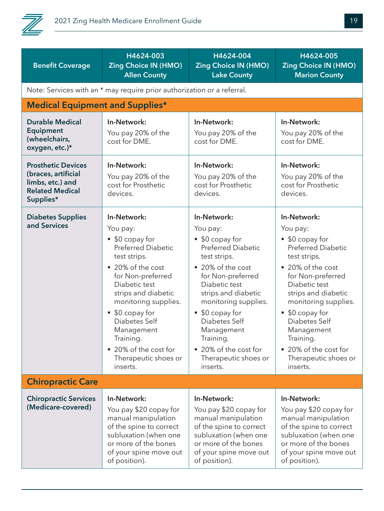

| <b>Benefit Coverage</b>                                                                                     | H4624-003<br><b>Zing Choice IN (HMO)</b><br><b>Allen County</b>                                                                                                                                                                                                                                                             | H4624-004<br><b>Zing Choice IN (HMO)</b><br><b>Lake County</b>                                                                                                                                                                                                                                                              | H4624-005<br><b>Zing Choice IN (HMO)</b><br><b>Marion County</b>                                                                                                                                                                                                                                                                 |  |  |
|-------------------------------------------------------------------------------------------------------------|-----------------------------------------------------------------------------------------------------------------------------------------------------------------------------------------------------------------------------------------------------------------------------------------------------------------------------|-----------------------------------------------------------------------------------------------------------------------------------------------------------------------------------------------------------------------------------------------------------------------------------------------------------------------------|----------------------------------------------------------------------------------------------------------------------------------------------------------------------------------------------------------------------------------------------------------------------------------------------------------------------------------|--|--|
|                                                                                                             | Note: Services with an * may require prior authorization or a referral.                                                                                                                                                                                                                                                     |                                                                                                                                                                                                                                                                                                                             |                                                                                                                                                                                                                                                                                                                                  |  |  |
| <b>Medical Equipment and Supplies*</b>                                                                      |                                                                                                                                                                                                                                                                                                                             |                                                                                                                                                                                                                                                                                                                             |                                                                                                                                                                                                                                                                                                                                  |  |  |
| <b>Durable Medical</b><br><b>Equipment</b><br>(wheelchairs,<br>oxygen, etc.)*                               | In-Network:<br>You pay 20% of the<br>cost for DME.                                                                                                                                                                                                                                                                          | In-Network:<br>You pay 20% of the<br>cost for DME.                                                                                                                                                                                                                                                                          | In-Network:<br>You pay 20% of the<br>cost for DME.                                                                                                                                                                                                                                                                               |  |  |
| <b>Prosthetic Devices</b><br>(braces, artificial<br>limbs, etc.) and<br><b>Related Medical</b><br>Supplies* | In-Network:<br>You pay 20% of the<br>cost for Prosthetic<br>devices.                                                                                                                                                                                                                                                        | In-Network:<br>You pay 20% of the<br>cost for Prosthetic<br>devices.                                                                                                                                                                                                                                                        | In-Network:<br>You pay 20% of the<br>cost for Prosthetic<br>devices.                                                                                                                                                                                                                                                             |  |  |
| <b>Diabetes Supplies</b><br>and Services                                                                    | In-Network:<br>You pay:<br>■ \$0 copay for<br><b>Preferred Diabetic</b><br>test strips.<br>■ 20% of the cost<br>for Non-preferred<br>Diabetic test<br>strips and diabetic<br>monitoring supplies.<br>\$0 copay for<br>Diabetes Self<br>Management<br>Training.<br>■ 20% of the cost for<br>Therapeutic shoes or<br>inserts. | In-Network:<br>You pay:<br>■ \$0 copay for<br><b>Preferred Diabetic</b><br>test strips.<br>■ 20% of the cost<br>for Non-preferred<br>Diabetic test<br>strips and diabetic<br>monitoring supplies.<br>\$0 copay for<br>Diabetes Self<br>Management<br>Training.<br>■ 20% of the cost for<br>Therapeutic shoes or<br>inserts. | In-Network:<br>You pay:<br>■ \$0 copay for<br><b>Preferred Diabetic</b><br>test strips.<br>■ 20% of the cost<br>for Non-preferred<br>Diabetic test<br>strips and diabetic<br>monitoring supplies.<br>\$0 copay for<br>٠<br>Diabetes Self<br>Management<br>Training.<br>■ 20% of the cost for<br>Therapeutic shoes or<br>inserts. |  |  |
| <b>Chiropractic Care</b>                                                                                    |                                                                                                                                                                                                                                                                                                                             |                                                                                                                                                                                                                                                                                                                             |                                                                                                                                                                                                                                                                                                                                  |  |  |
| <b>Chiropractic Services</b><br>(Medicare-covered)                                                          | In-Network:<br>You pay \$20 copay for<br>manual manipulation<br>of the spine to correct<br>subluxation (when one<br>or more of the bones<br>of your spine move out<br>of position).                                                                                                                                         | In-Network:<br>You pay \$20 copay for<br>manual manipulation<br>of the spine to correct<br>subluxation (when one<br>or more of the bones<br>of your spine move out<br>of position).                                                                                                                                         | In-Network:<br>You pay \$20 copay for<br>manual manipulation<br>of the spine to correct<br>subluxation (when one<br>or more of the bones<br>of your spine move out<br>of position).                                                                                                                                              |  |  |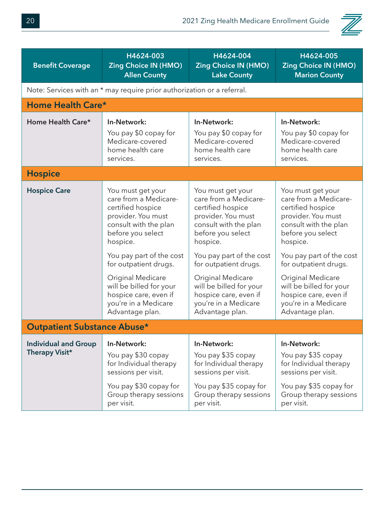

| H4624-003                                                                                                                                                                                                                                                                                                                |                                                                                                                                                                                                                                                                                                                          |                                                                                                                                                                                                                                                                                                                          |
|--------------------------------------------------------------------------------------------------------------------------------------------------------------------------------------------------------------------------------------------------------------------------------------------------------------------------|--------------------------------------------------------------------------------------------------------------------------------------------------------------------------------------------------------------------------------------------------------------------------------------------------------------------------|--------------------------------------------------------------------------------------------------------------------------------------------------------------------------------------------------------------------------------------------------------------------------------------------------------------------------|
| <b>Zing Choice IN (HMO)</b><br><b>Allen County</b>                                                                                                                                                                                                                                                                       | H4624-004<br>Zing Choice IN (HMO)<br><b>Lake County</b>                                                                                                                                                                                                                                                                  | H4624-005<br><b>Zing Choice IN (HMO)</b><br><b>Marion County</b>                                                                                                                                                                                                                                                         |
|                                                                                                                                                                                                                                                                                                                          |                                                                                                                                                                                                                                                                                                                          |                                                                                                                                                                                                                                                                                                                          |
| Home Health Care*                                                                                                                                                                                                                                                                                                        |                                                                                                                                                                                                                                                                                                                          |                                                                                                                                                                                                                                                                                                                          |
| In-Network:<br>You pay \$0 copay for<br>Medicare-covered<br>home health care<br>services.                                                                                                                                                                                                                                | In-Network:<br>You pay \$0 copay for<br>Medicare-covered<br>home health care<br>services.                                                                                                                                                                                                                                | In-Network:<br>You pay \$0 copay for<br>Medicare-covered<br>home health care<br>services.                                                                                                                                                                                                                                |
|                                                                                                                                                                                                                                                                                                                          |                                                                                                                                                                                                                                                                                                                          |                                                                                                                                                                                                                                                                                                                          |
| You must get your<br>care from a Medicare-<br>certified hospice<br>provider. You must<br>consult with the plan<br>before you select<br>hospice.<br>You pay part of the cost<br>for outpatient drugs.<br>Original Medicare<br>will be billed for your<br>hospice care, even if<br>you're in a Medicare<br>Advantage plan. | You must get your<br>care from a Medicare-<br>certified hospice<br>provider. You must<br>consult with the plan<br>before you select<br>hospice.<br>You pay part of the cost<br>for outpatient drugs.<br>Original Medicare<br>will be billed for your<br>hospice care, even if<br>you're in a Medicare<br>Advantage plan. | You must get your<br>care from a Medicare-<br>certified hospice<br>provider. You must<br>consult with the plan<br>before you select<br>hospice.<br>You pay part of the cost<br>for outpatient drugs.<br>Original Medicare<br>will be billed for your<br>hospice care, even if<br>you're in a Medicare<br>Advantage plan. |
| <b>Outpatient Substance Abuse*</b>                                                                                                                                                                                                                                                                                       |                                                                                                                                                                                                                                                                                                                          |                                                                                                                                                                                                                                                                                                                          |
| In-Network:<br>You pay \$30 copay<br>for Individual therapy<br>sessions per visit.<br>You pay \$30 copay for<br>Group therapy sessions<br>per visit.                                                                                                                                                                     | In-Network:<br>You pay \$35 copay<br>for Individual therapy<br>sessions per visit.<br>You pay \$35 copay for<br>Group therapy sessions<br>per visit.                                                                                                                                                                     | In-Network:<br>You pay \$35 copay<br>for Individual therapy<br>sessions per visit.<br>You pay \$35 copay for<br>Group therapy sessions<br>per visit.                                                                                                                                                                     |
|                                                                                                                                                                                                                                                                                                                          |                                                                                                                                                                                                                                                                                                                          | Note: Services with an * may require prior authorization or a referral.                                                                                                                                                                                                                                                  |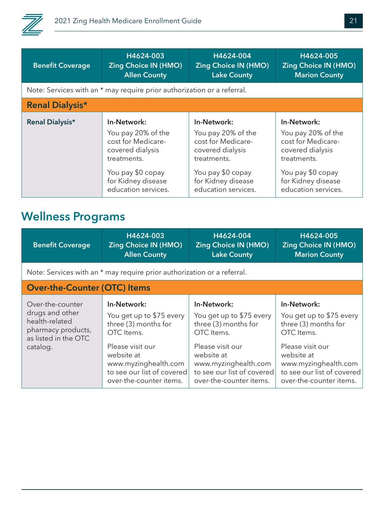

| <b>Benefit Coverage</b> | H4624-003                                                               | H4624-004                   | H4624-005                   |
|-------------------------|-------------------------------------------------------------------------|-----------------------------|-----------------------------|
|                         | <b>Zing Choice IN (HMO)</b>                                             | <b>Zing Choice IN (HMO)</b> | <b>Zing Choice IN (HMO)</b> |
|                         | <b>Allen County</b>                                                     | <b>Lake County</b>          | <b>Marion County</b>        |
|                         | Note: Services with an * may require prior authorization or a referral. |                             |                             |
| <b>Renal Dialysis*</b>  |                                                                         |                             |                             |
| <b>Renal Dialysis*</b>  | In-Network:                                                             | In-Network:                 | In-Network:                 |
|                         | You pay 20% of the                                                      | You pay 20% of the          | You pay 20% of the          |
|                         | cost for Medicare-                                                      | cost for Medicare-          | cost for Medicare-          |
|                         | covered dialysis                                                        | covered dialysis            | covered dialysis            |
|                         | treatments.                                                             | treatments.                 | treatments.                 |
|                         | You pay \$0 copay                                                       | You pay \$0 copay           | You pay \$0 copay           |
|                         | for Kidney disease                                                      | for Kidney disease          | for Kidney disease          |
|                         | education services.                                                     | education services.         | education services.         |

### **Wellness Programs**

| <b>Benefit Coverage</b>                                                                                         | H4624-003<br><b>Zing Choice IN (HMO)</b><br><b>Allen County</b>                                                                                                                                  | H4624-004<br><b>Zing Choice IN (HMO)</b><br><b>Lake County</b>                                                                                                                                   | H4624-005<br><b>Zing Choice IN (HMO)</b><br><b>Marion County</b>                                                                                                                                 |
|-----------------------------------------------------------------------------------------------------------------|--------------------------------------------------------------------------------------------------------------------------------------------------------------------------------------------------|--------------------------------------------------------------------------------------------------------------------------------------------------------------------------------------------------|--------------------------------------------------------------------------------------------------------------------------------------------------------------------------------------------------|
|                                                                                                                 | Note: Services with an * may require prior authorization or a referral.                                                                                                                          |                                                                                                                                                                                                  |                                                                                                                                                                                                  |
| <b>Over-the-Counter (OTC) Items</b>                                                                             |                                                                                                                                                                                                  |                                                                                                                                                                                                  |                                                                                                                                                                                                  |
| Over-the-counter<br>drugs and other<br>health-related<br>pharmacy products,<br>as listed in the OTC<br>catalog. | In-Network:<br>You get up to \$75 every<br>three (3) months for<br>OTC Items.<br>Please visit our<br>website at<br>www.myzinghealth.com<br>to see our list of covered<br>over-the-counter items. | In-Network:<br>You get up to \$75 every<br>three (3) months for<br>OTC Items.<br>Please visit our<br>website at<br>www.myzinghealth.com<br>to see our list of covered<br>over-the-counter items. | In-Network:<br>You get up to \$75 every<br>three (3) months for<br>OTC Items.<br>Please visit our<br>website at<br>www.myzinghealth.com<br>to see our list of covered<br>over-the-counter items. |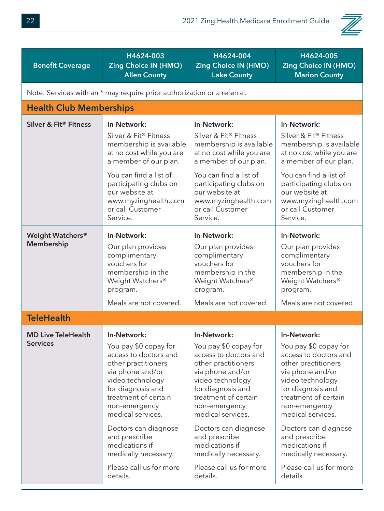

| <b>Benefit Coverage</b>        | H4624-003                                                               | H4624-004                    | H4624-005                   |  |  |
|--------------------------------|-------------------------------------------------------------------------|------------------------------|-----------------------------|--|--|
|                                | <b>Zing Choice IN (HMO)</b>                                             | <b>Zing Choice IN (HMO)</b>  | <b>Zing Choice IN (HMO)</b> |  |  |
|                                | <b>Allen County</b>                                                     | <b>Lake County</b>           | <b>Marion County</b>        |  |  |
|                                | Note: Services with an * may require prior authorization or a referral. |                              |                             |  |  |
| <b>Health Club Memberships</b> |                                                                         |                              |                             |  |  |
| Silver & Fit® Fitness          | In-Network:                                                             | In-Network:                  | In-Network:                 |  |  |
|                                | Silver & Fit® Fitness                                                   | Silver & Fit® Fitness        | Silver & Fit® Fitness       |  |  |
|                                | membership is available                                                 | membership is available      | membership is available     |  |  |
|                                | at no cost while you are                                                | at no cost while you are     | at no cost while you are    |  |  |
|                                | a member of our plan.                                                   | a member of our plan.        | a member of our plan.       |  |  |
|                                | You can find a list of                                                  | You can find a list of       | You can find a list of      |  |  |
|                                | participating clubs on                                                  | participating clubs on       | participating clubs on      |  |  |
|                                | our website at                                                          | our website at               | our website at              |  |  |
|                                | www.myzinghealth.com                                                    | www.myzinghealth.com         | www.myzinghealth.com        |  |  |
|                                | or call Customer                                                        | or call Customer             | or call Customer            |  |  |
|                                | Service.                                                                | Service.                     | Service.                    |  |  |
| <b>Weight Watchers®</b>        | In-Network:                                                             | In-Network:                  | In-Network:                 |  |  |
| Membership                     | Our plan provides                                                       | Our plan provides            | Our plan provides           |  |  |
|                                | complimentary                                                           | complimentary                | complimentary               |  |  |
|                                | vouchers for                                                            | vouchers for                 | vouchers for                |  |  |
|                                | membership in the                                                       | membership in the            | membership in the           |  |  |
|                                | Weight Watchers®                                                        | Weight Watchers <sup>®</sup> | Weight Watchers®            |  |  |
|                                | program.                                                                | program.                     | program.                    |  |  |
|                                | Meals are not covered.                                                  | Meals are not covered.       | Meals are not covered.      |  |  |
| <b>TeleHealth</b>              |                                                                         |                              |                             |  |  |
| <b>MD Live TeleHealth</b>      | In-Network:                                                             | In-Network:                  | In-Network:                 |  |  |
| <b>Services</b>                | You pay \$0 copay for                                                   | You pay \$0 copay for        | You pay \$0 copay for       |  |  |
|                                | access to doctors and                                                   | access to doctors and        | access to doctors and       |  |  |
|                                | other practitioners                                                     | other practitioners          | other practitioners         |  |  |
|                                | via phone and/or                                                        | via phone and/or             | via phone and/or            |  |  |
|                                | video technology                                                        | video technology             | video technology            |  |  |
|                                | for diagnosis and                                                       | for diagnosis and            | for diagnosis and           |  |  |
|                                | treatment of certain                                                    | treatment of certain         | treatment of certain        |  |  |
|                                | non-emergency                                                           | non-emergency                | non-emergency               |  |  |
|                                | medical services.                                                       | medical services.            | medical services.           |  |  |
|                                | Doctors can diagnose                                                    | Doctors can diagnose         | Doctors can diagnose        |  |  |
|                                | and prescribe                                                           | and prescribe                | and prescribe               |  |  |
|                                | medications if                                                          | medications if               | medications if              |  |  |
|                                | medically necessary.                                                    | medically necessary.         | medically necessary.        |  |  |
|                                | Please call us for more                                                 | Please call us for more      | Please call us for more     |  |  |
|                                | details.                                                                | details.                     | details.                    |  |  |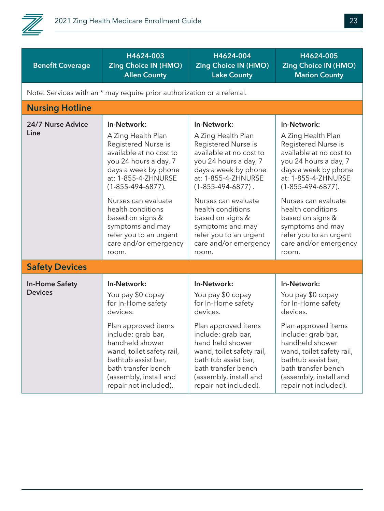

| <b>Benefit Coverage</b>                                                 | H4624-003<br><b>Zing Choice IN (HMO)</b><br><b>Allen County</b>                                                                                                                                                                                                                                                                           | H4624-004<br><b>Zing Choice IN (HMO)</b><br><b>Lake County</b>                                                                                                                                                                                                                                                                            | H4624-005<br><b>Zing Choice IN (HMO)</b><br><b>Marion County</b>                                                                                                                                                                                                                                                                          |  |
|-------------------------------------------------------------------------|-------------------------------------------------------------------------------------------------------------------------------------------------------------------------------------------------------------------------------------------------------------------------------------------------------------------------------------------|-------------------------------------------------------------------------------------------------------------------------------------------------------------------------------------------------------------------------------------------------------------------------------------------------------------------------------------------|-------------------------------------------------------------------------------------------------------------------------------------------------------------------------------------------------------------------------------------------------------------------------------------------------------------------------------------------|--|
| Note: Services with an * may require prior authorization or a referral. |                                                                                                                                                                                                                                                                                                                                           |                                                                                                                                                                                                                                                                                                                                           |                                                                                                                                                                                                                                                                                                                                           |  |
| <b>Nursing Hotline</b>                                                  |                                                                                                                                                                                                                                                                                                                                           |                                                                                                                                                                                                                                                                                                                                           |                                                                                                                                                                                                                                                                                                                                           |  |
| 24/7 Nurse Advice<br>Line                                               | In-Network:<br>A Zing Health Plan<br>Registered Nurse is<br>available at no cost to<br>you 24 hours a day, 7<br>days a week by phone<br>at: 1-855-4-ZHNURSE<br>$(1 - 855 - 494 - 6877)$ .<br>Nurses can evaluate<br>health conditions<br>based on signs &<br>symptoms and may<br>refer you to an urgent<br>care and/or emergency<br>room. | In-Network:<br>A Zing Health Plan<br>Registered Nurse is<br>available at no cost to<br>you 24 hours a day, 7<br>days a week by phone<br>at: 1-855-4-ZHNURSE<br>$(1 - 855 - 494 - 6877)$ .<br>Nurses can evaluate<br>health conditions<br>based on signs &<br>symptoms and may<br>refer you to an urgent<br>care and/or emergency<br>room. | In-Network:<br>A Zing Health Plan<br>Registered Nurse is<br>available at no cost to<br>you 24 hours a day, 7<br>days a week by phone<br>at: 1-855-4-ZHNURSE<br>$(1 - 855 - 494 - 6877)$ .<br>Nurses can evaluate<br>health conditions<br>based on signs &<br>symptoms and may<br>refer you to an urgent<br>care and/or emergency<br>room. |  |
| <b>Safety Devices</b>                                                   |                                                                                                                                                                                                                                                                                                                                           |                                                                                                                                                                                                                                                                                                                                           |                                                                                                                                                                                                                                                                                                                                           |  |
| <b>In-Home Safety</b><br><b>Devices</b>                                 | In-Network:<br>You pay \$0 copay<br>for In-Home safety<br>devices.<br>Plan approved items<br>include: grab bar,<br>handheld shower<br>wand, toilet safety rail,<br>bathtub assist bar,<br>bath transfer bench<br>(assembly, install and<br>repair not included).                                                                          | In-Network:<br>You pay \$0 copay<br>for In-Home safety<br>devices.<br>Plan approved items<br>include: grab bar,<br>hand held shower<br>wand, toilet safety rail,<br>bath tub assist bar,<br>bath transfer bench<br>(assembly, install and<br>repair not included).                                                                        | In-Network:<br>You pay \$0 copay<br>for In-Home safety<br>devices.<br>Plan approved items<br>include: grab bar,<br>handheld shower<br>wand, toilet safety rail,<br>bathtub assist bar,<br>bath transfer bench<br>(assembly, install and<br>repair not included).                                                                          |  |